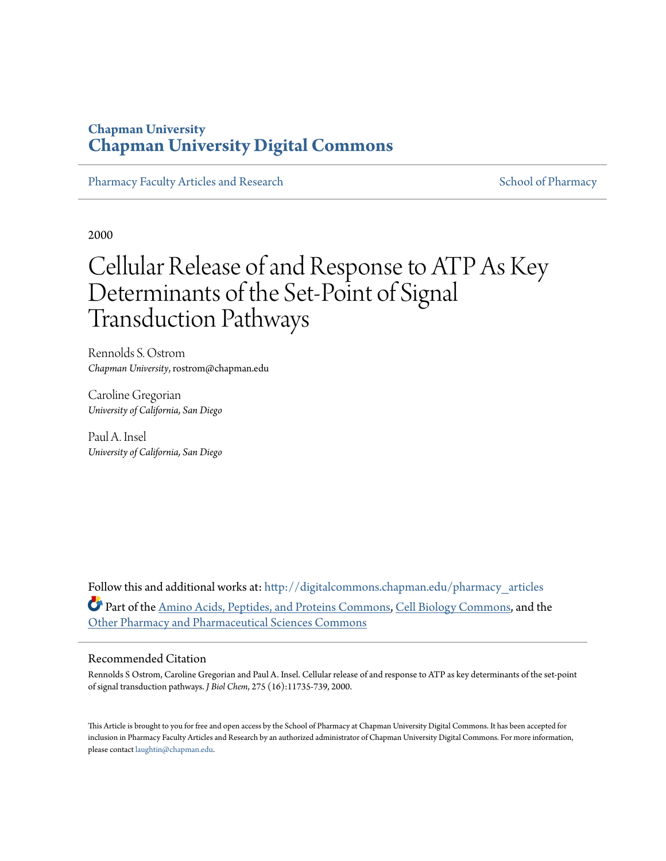## **Chapman University [Chapman University Digital Commons](http://digitalcommons.chapman.edu?utm_source=digitalcommons.chapman.edu%2Fpharmacy_articles%2F376&utm_medium=PDF&utm_campaign=PDFCoverPages)**

[Pharmacy Faculty Articles and Research](http://digitalcommons.chapman.edu/pharmacy_articles?utm_source=digitalcommons.chapman.edu%2Fpharmacy_articles%2F376&utm_medium=PDF&utm_campaign=PDFCoverPages) [School of Pharmacy](http://digitalcommons.chapman.edu/cusp?utm_source=digitalcommons.chapman.edu%2Fpharmacy_articles%2F376&utm_medium=PDF&utm_campaign=PDFCoverPages)

2000

# Cellular Release of and Response to ATP As Key Determinants of the Set-Point of Signal Transduction Pathways

Rennolds S. Ostrom *Chapman University*, rostrom@chapman.edu

Caroline Gregorian *University of California, San Diego*

Paul A. Insel *University of California, San Diego*

Follow this and additional works at: [http://digitalcommons.chapman.edu/pharmacy\\_articles](http://digitalcommons.chapman.edu/pharmacy_articles?utm_source=digitalcommons.chapman.edu%2Fpharmacy_articles%2F376&utm_medium=PDF&utm_campaign=PDFCoverPages) Part of the [Amino Acids, Peptides, and Proteins Commons](http://network.bepress.com/hgg/discipline/954?utm_source=digitalcommons.chapman.edu%2Fpharmacy_articles%2F376&utm_medium=PDF&utm_campaign=PDFCoverPages), [Cell Biology Commons,](http://network.bepress.com/hgg/discipline/10?utm_source=digitalcommons.chapman.edu%2Fpharmacy_articles%2F376&utm_medium=PDF&utm_campaign=PDFCoverPages) and the [Other Pharmacy and Pharmaceutical Sciences Commons](http://network.bepress.com/hgg/discipline/737?utm_source=digitalcommons.chapman.edu%2Fpharmacy_articles%2F376&utm_medium=PDF&utm_campaign=PDFCoverPages)

#### Recommended Citation

Rennolds S Ostrom, Caroline Gregorian and Paul A. Insel. Cellular release of and response to ATP as key determinants of the set-point of signal transduction pathways. *J Biol Chem*, 275 (16):11735-739, 2000.

This Article is brought to you for free and open access by the School of Pharmacy at Chapman University Digital Commons. It has been accepted for inclusion in Pharmacy Faculty Articles and Research by an authorized administrator of Chapman University Digital Commons. For more information, please contact [laughtin@chapman.edu.](mailto:laughtin@chapman.edu)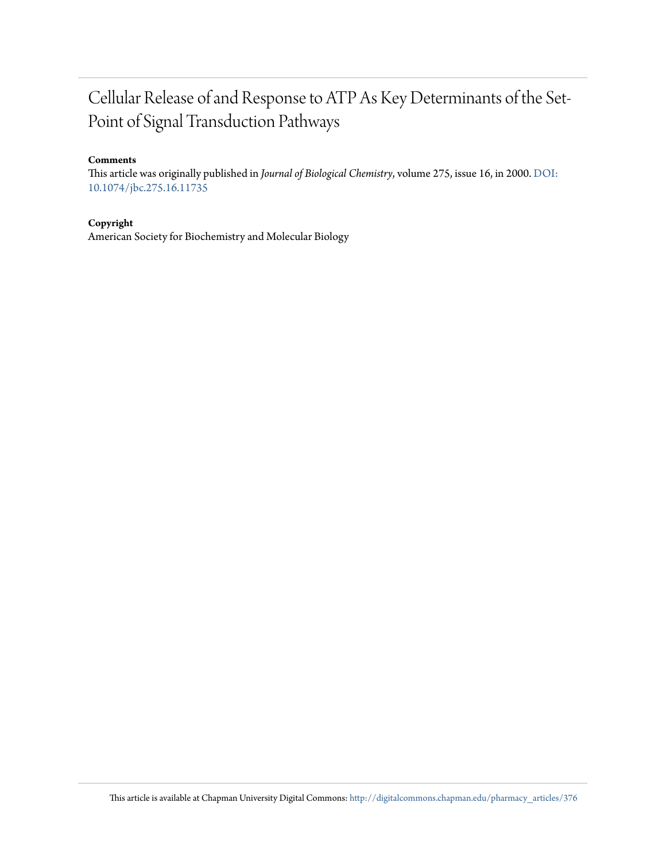## Cellular Release of and Response to ATP As Key Determinants of the Set-Point of Signal Transduction Pathways

#### **Comments**

This article was originally published in *Journal of Biological Chemistry*, volume 275, issue 16, in 2000. [DOI:](http://dx.doi.org/10.1074/jbc.275.16.11735) [10.1074/jbc.275.16.11735](http://dx.doi.org/10.1074/jbc.275.16.11735)

**Copyright**

American Society for Biochemistry and Molecular Biology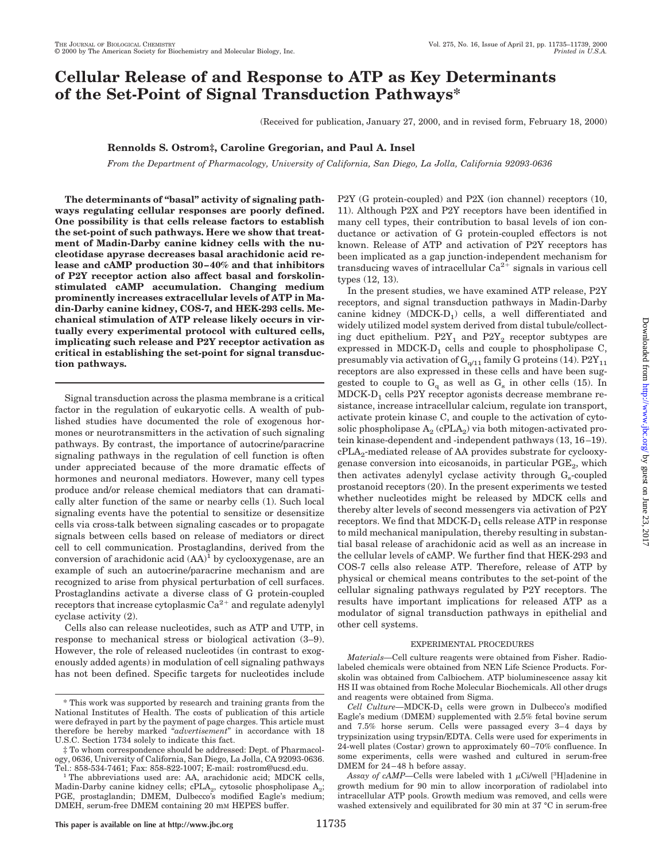## **Cellular Release of and Response to ATP as Key Determinants of the Set-Point of Signal Transduction Pathways\***

(Received for publication, January 27, 2000, and in revised form, February 18, 2000)

#### **Rennolds S. Ostrom‡, Caroline Gregorian, and Paul A. Insel**

*From the Department of Pharmacology, University of California, San Diego, La Jolla, California 92093-0636*

**The determinants of "basal" activity of signaling pathways regulating cellular responses are poorly defined. One possibility is that cells release factors to establish the set-point of such pathways. Here we show that treatment of Madin-Darby canine kidney cells with the nucleotidase apyrase decreases basal arachidonic acid release and cAMP production 30–40% and that inhibitors of P2Y receptor action also affect basal and forskolinstimulated cAMP accumulation. Changing medium prominently increases extracellular levels of ATP in Madin-Darby canine kidney, COS-7, and HEK-293 cells. Mechanical stimulation of ATP release likely occurs in virtually every experimental protocol with cultured cells, implicating such release and P2Y receptor activation as critical in establishing the set-point for signal transduction pathways.**

Signal transduction across the plasma membrane is a critical factor in the regulation of eukaryotic cells. A wealth of published studies have documented the role of exogenous hormones or neurotransmitters in the activation of such signaling pathways. By contrast, the importance of autocrine/paracrine signaling pathways in the regulation of cell function is often under appreciated because of the more dramatic effects of hormones and neuronal mediators. However, many cell types produce and/or release chemical mediators that can dramatically alter function of the same or nearby cells (1). Such local signaling events have the potential to sensitize or desensitize cells via cross-talk between signaling cascades or to propagate signals between cells based on release of mediators or direct cell to cell communication. Prostaglandins, derived from the conversion of arachidonic acid  $(AA)^1$  by cyclooxygenase, are an example of such an autocrine/paracrine mechanism and are recognized to arise from physical perturbation of cell surfaces. Prostaglandins activate a diverse class of G protein-coupled receptors that increase cytoplasmic  $Ca^{2+}$  and regulate adenylyl cyclase activity (2).

Cells also can release nucleotides, such as ATP and UTP, in response to mechanical stress or biological activation (3–9). However, the role of released nucleotides (in contrast to exogenously added agents) in modulation of cell signaling pathways has not been defined. Specific targets for nucleotides include P2Y (G protein-coupled) and P2X (ion channel) receptors (10, 11). Although P2X and P2Y receptors have been identified in many cell types, their contribution to basal levels of ion conductance or activation of G protein-coupled effectors is not known. Release of ATP and activation of P2Y receptors has been implicated as a gap junction-independent mechanism for transducing waves of intracellular  $Ca^{2+}$  signals in various cell types (12, 13).

In the present studies, we have examined ATP release, P2Y receptors, and signal transduction pathways in Madin-Darby canine kidney  $(MDCK-D_1)$  cells, a well differentiated and widely utilized model system derived from distal tubule/collecting duct epithelium.  $P2Y_1$  and  $P2Y_2$  receptor subtypes are expressed in MDCK- $D_1$  cells and couple to phospholipase C, presumably via activation of  $G_{q/11}$  family G proteins (14).  $P2Y_{11}$ receptors are also expressed in these cells and have been suggested to couple to  $G_q$  as well as  $G_s$  in other cells (15). In MDCK-D<sub>1</sub> cells P2Y receptor agonists decrease membrane resistance, increase intracellular calcium, regulate ion transport, activate protein kinase C, and couple to the activation of cytosolic phospholipase  $A_2$  (cPLA<sub>2</sub>) via both mitogen-activated protein kinase-dependent and -independent pathways (13, 16–19). cPLA<sub>2</sub>-mediated release of AA provides substrate for cyclooxygenase conversion into eicosanoids, in particular  $PGE_2$ , which then activates adenylyl cyclase activity through  $G_{s}$ -coupled prostanoid receptors (20). In the present experiments we tested whether nucleotides might be released by MDCK cells and thereby alter levels of second messengers via activation of P2Y receptors. We find that  $MDCK-D<sub>1</sub>$  cells release ATP in response to mild mechanical manipulation, thereby resulting in substantial basal release of arachidonic acid as well as an increase in the cellular levels of cAMP. We further find that HEK-293 and COS-7 cells also release ATP. Therefore, release of ATP by physical or chemical means contributes to the set-point of the cellular signaling pathways regulated by P2Y receptors. The results have important implications for released ATP as a modulator of signal transduction pathways in epithelial and other cell systems.

#### EXPERIMENTAL PROCEDURES

*Materials—*Cell culture reagents were obtained from Fisher. Radiolabeled chemicals were obtained from NEN Life Science Products. Forskolin was obtained from Calbiochem. ATP bioluminescence assay kit HS II was obtained from Roche Molecular Biochemicals. All other drugs and reagents were obtained from Sigma.

Cell Culture-MDCK-D<sub>1</sub> cells were grown in Dulbecco's modified Eagle's medium (DMEM) supplemented with 2.5% fetal bovine serum and 7.5% horse serum. Cells were passaged every 3–4 days by trypsinization using trypsin/EDTA. Cells were used for experiments in 24-well plates (Costar) grown to approximately 60–70% confluence. In some experiments, cells were washed and cultured in serum-free DMEM for 24–48 h before assay.

<sup>\*</sup> This work was supported by research and training grants from the National Institutes of Health. The costs of publication of this article were defrayed in part by the payment of page charges. This article must therefore be hereby marked "*advertisement*" in accordance with 18 U.S.C. Section 1734 solely to indicate this fact.

<sup>‡</sup> To whom correspondence should be addressed: Dept. of Pharmacology, 0636, University of California, San Diego, La Jolla, CA 92093-0636.<br>Tel.: 858-534-7461; Fax: 858-822-1007; E-mail: rostrom@ucsd.edu.

<sup>&</sup>lt;sup>1</sup> The abbreviations used are: AA, arachidonic acid; MDCK cells, Madin-Darby canine kidney cells; cPLA<sub>2</sub>, cytosolic phospholipase  $A_2$ ; PGE, prostaglandin; DMEM, Dulbecco's modified Eagle's medium; DMEH, serum-free DMEM containing 20 mM HEPES buffer.

Assay of cAMP—Cells were labeled with  $1 \mu$ Ci/well [<sup>3</sup>H]adenine in growth medium for 90 min to allow incorporation of radiolabel into intracellular ATP pools. Growth medium was removed, and cells were washed extensively and equilibrated for 30 min at 37 °C in serum-free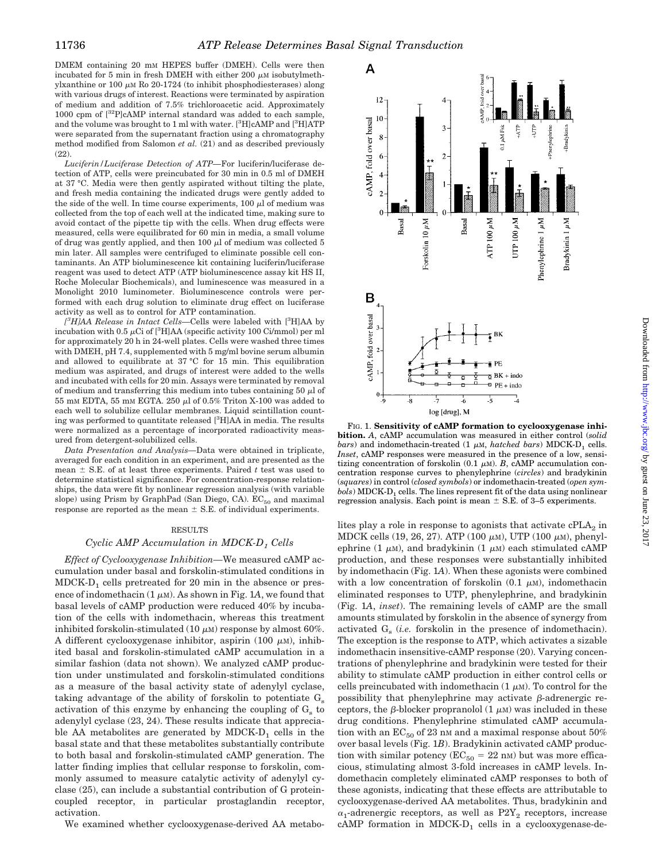DMEM containing 20 mM HEPES buffer (DMEH). Cells were then incubated for 5 min in fresh DMEH with either 200  $\mu$ M isobutylmethylxanthine or 100  $\mu$ M Ro 20-1724 (to inhibit phosphodiesterases) along with various drugs of interest. Reactions were terminated by aspiration of medium and addition of 7.5% trichloroacetic acid. Approximately 1000 cpm of [32P]cAMP internal standard was added to each sample, and the volume was brought to 1 ml with water. [<sup>3</sup>H]cAMP and [<sup>3</sup>H]ATP were separated from the supernatant fraction using a chromatography method modified from Salomon *et al.* (21) and as described previously (22).

*Luciferin/Luciferase Detection of ATP—*For luciferin/luciferase detection of ATP, cells were preincubated for 30 min in 0.5 ml of DMEH at 37 °C. Media were then gently aspirated without tilting the plate, and fresh media containing the indicated drugs were gently added to the side of the well. In time course experiments,  $100 \mu l$  of medium was collected from the top of each well at the indicated time, making sure to avoid contact of the pipette tip with the cells. When drug effects were measured, cells were equilibrated for 60 min in media, a small volume of drug was gently applied, and then  $100 \mu l$  of medium was collected  $5$ min later. All samples were centrifuged to eliminate possible cell contaminants. An ATP bioluminescence kit containing luciferin/luciferase reagent was used to detect ATP (ATP bioluminescence assay kit HS II, Roche Molecular Biochemicals), and luminescence was measured in a Monolight 2010 luminometer. Bioluminescence controls were performed with each drug solution to eliminate drug effect on luciferase activity as well as to control for ATP contamination.

*[ 3 H]AA Release in Intact Cells—*Cells were labeled with [<sup>3</sup> H]AA by incubation with 0.5  $\mu$ Ci of [<sup>3</sup>H]AA (specific activity 100 Ci/mmol) per ml for approximately 20 h in 24-well plates. Cells were washed three times with DMEH, pH 7.4, supplemented with 5 mg/ml bovine serum albumin and allowed to equilibrate at 37 °C for 15 min. This equilibration medium was aspirated, and drugs of interest were added to the wells and incubated with cells for 20 min. Assays were terminated by removal of medium and transferring this medium into tubes containing 50  $\mu$ l of 55 mm EDTA, 55 mm EGTA. 250  $\mu$ l of 0.5% Triton X-100 was added to each well to solubilize cellular membranes. Liquid scintillation counting was performed to quantitate released [3 H]AA in media. The results were normalized as a percentage of incorporated radioactivity measured from detergent-solubilized cells.

*Data Presentation and Analysis—*Data were obtained in triplicate, averaged for each condition in an experiment, and are presented as the mean  $\pm$  S.E. of at least three experiments. Paired *t* test was used to determine statistical significance. For concentration-response relationships, the data were fit by nonlinear regression analysis (with variable slope) using Prism by GraphPad (San Diego, CA).  $EC_{50}$  and maximal response are reported as the mean  $\pm$  S.E. of individual experiments.

#### RESULTS

#### *Cyclic AMP Accumulation in MDCK-D<sub>1</sub> Cells*

*Effect of Cyclooxygenase Inhibition—*We measured cAMP accumulation under basal and forskolin-stimulated conditions in  $MDCK-D<sub>1</sub>$  cells pretreated for 20 min in the absence or presence of indomethacin  $(1 \mu M)$ . As shown in Fig. 1A, we found that basal levels of cAMP production were reduced 40% by incubation of the cells with indomethacin, whereas this treatment inhibited forskolin-stimulated (10  $\mu$ M) response by almost 60%. A different cyclooxygenase inhibitor, aspirin (100  $\mu$ M), inhibited basal and forskolin-stimulated cAMP accumulation in a similar fashion (data not shown). We analyzed cAMP production under unstimulated and forskolin-stimulated conditions as a measure of the basal activity state of adenylyl cyclase, taking advantage of the ability of forskolin to potentiate  $G<sub>s</sub>$ activation of this enzyme by enhancing the coupling of  $G<sub>s</sub>$  to adenylyl cyclase (23, 24). These results indicate that appreciable AA metabolites are generated by  $MDCK-D<sub>1</sub>$  cells in the basal state and that these metabolites substantially contribute to both basal and forskolin-stimulated cAMP generation. The latter finding implies that cellular response to forskolin, commonly assumed to measure catalytic activity of adenylyl cyclase (25), can include a substantial contribution of G proteincoupled receptor, in particular prostaglandin receptor, activation.

We examined whether cyclooxygenase-derived AA metabo-



FIG. 1. **Sensitivity of cAMP formation to cyclooxygenase inhibition.** *A*, cAMP accumulation was measured in either control (*solid bars*) and indomethacin-treated (1  $\mu$ M, *hatched bars*) MDCK-D<sub>1</sub> cells. *Inset*, cAMP responses were measured in the presence of a low, sensitizing concentration of forskolin  $(0.1 \mu M)$ . *B*, cAMP accumulation concentration response curves to phenylephrine (*circles*) and bradykinin (*squares*) in control (*closed symbols*) or indomethacin-treated (*open symbols*) MDCK-D<sub>1</sub> cells. The lines represent fit of the data using nonlinear regression analysis. Each point is mean  $\pm$  S.E. of 3–5 experiments.

lites play a role in response to agonists that activate  $cPLA_2$  in MDCK cells (19, 26, 27). ATP (100  $\mu$ m), UTP (100  $\mu$ m), phenylephrine (1  $\mu$ M), and bradykinin (1  $\mu$ M) each stimulated cAMP production, and these responses were substantially inhibited by indomethacin (Fig. 1*A*). When these agonists were combined with a low concentration of forskolin  $(0.1 \mu M)$ , indomethacin eliminated responses to UTP, phenylephrine, and bradykinin (Fig. 1*A*, *inset*). The remaining levels of cAMP are the small amounts stimulated by forskolin in the absence of synergy from activated  $G_s$  (*i.e.* forskolin in the presence of indomethacin). The exception is the response to ATP, which activates a sizable indomethacin insensitive-cAMP response (20). Varying concentrations of phenylephrine and bradykinin were tested for their ability to stimulate cAMP production in either control cells or cells preincubated with indomethacin  $(1 \mu M)$ . To control for the possibility that phenylephrine may activate  $\beta$ -adrenergic receptors, the  $\beta$ -blocker propranolol (1  $\mu$ M) was included in these drug conditions. Phenylephrine stimulated cAMP accumulation with an  $EC_{50}$  of 23 nm and a maximal response about  $50\%$ over basal levels (Fig. 1*B*). Bradykinin activated cAMP production with similar potency ( $EC_{50} = 22$  nM) but was more efficacious, stimulating almost 3-fold increases in cAMP levels. Indomethacin completely eliminated cAMP responses to both of these agonists, indicating that these effects are attributable to cyclooxygenase-derived AA metabolites. Thus, bradykinin and  $\alpha_1$ -adrenergic receptors, as well as P2Y<sub>2</sub> receptors, increase cAMP formation in  $MDCK-D_1$  cells in a cyclooxygenase-de-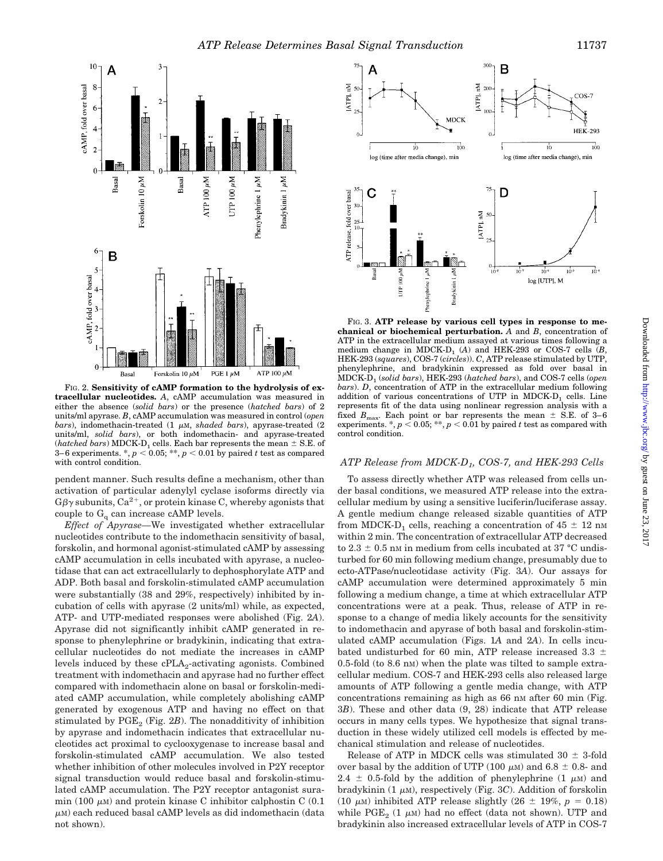



FIG. 2. **Sensitivity of cAMP formation to the hydrolysis of extracellular nucleotides.** *A*, cAMP accumulation was measured in either the absence (*solid bars*) or the presence (*hatched bars*) of 2 units/ml apyrase. *B*, cAMP accumulation was measured in control (*open bars*), indomethacin-treated (1  $\mu$ M, *shaded bars*), apyrase-treated (2 units/ml, *solid bars*), or both indomethacin- and apyrase-treated (*hatched bars*) MDCK-D<sub>1</sub> cells. Each bar represents the mean  $\pm$  S.E. of 3–6 experiments.  $\ast$ ,  $p < 0.05$ ;  $\ast \ast$ ,  $p < 0.01$  by paired *t* test as compared with control condition.

pendent manner. Such results define a mechanism, other than activation of particular adenylyl cyclase isoforms directly via  $G\beta\gamma$  subunits,  $Ca^{2+}$ , or protein kinase C, whereby agonists that couple to  $G_q$  can increase cAMP levels.

*Effect of Apyrase—*We investigated whether extracellular nucleotides contribute to the indomethacin sensitivity of basal, forskolin, and hormonal agonist-stimulated cAMP by assessing cAMP accumulation in cells incubated with apyrase, a nucleotidase that can act extracellularly to dephosphorylate ATP and ADP. Both basal and forskolin-stimulated cAMP accumulation were substantially (38 and 29%, respectively) inhibited by incubation of cells with apyrase (2 units/ml) while, as expected, ATP- and UTP-mediated responses were abolished (Fig. 2*A*). Apyrase did not significantly inhibit cAMP generated in response to phenylephrine or bradykinin, indicating that extracellular nucleotides do not mediate the increases in cAMP levels induced by these  $cPLA_2$ -activating agonists. Combined treatment with indomethacin and apyrase had no further effect compared with indomethacin alone on basal or forskolin-mediated cAMP accumulation, while completely abolishing cAMP generated by exogenous ATP and having no effect on that stimulated by  $PGE_2$  (Fig. 2*B*). The nonadditivity of inhibition by apyrase and indomethacin indicates that extracellular nucleotides act proximal to cyclooxygenase to increase basal and forskolin-stimulated cAMP accumulation. We also tested whether inhibition of other molecules involved in P2Y receptor signal transduction would reduce basal and forskolin-stimulated cAMP accumulation. The P2Y receptor antagonist suramin (100  $\mu$ M) and protein kinase C inhibitor calphostin C (0.1)  $\mu$ M) each reduced basal cAMP levels as did indomethacin (data not shown).



FIG. 3. **ATP release by various cell types in response to mechanical or biochemical perturbation.** *A* and *B*, concentration of ATP in the extracellular medium assayed at various times following a medium change in MDCK-D<sub>1</sub> (A) and HEK-293 or COS-7 cells  $(B,$ HEK-293 (*squares*), COS-7 (*circles*)). *C*, ATP release stimulated by UTP, phenylephrine, and bradykinin expressed as fold over basal in MDCK-D1 (*solid bars*), HEK-293 (*hatched bars*), and COS-7 cells (*open bars*). *D*, concentration of ATP in the extracellular medium following addition of various concentrations of UTP in MDCK-D, cells. Line represents fit of the data using nonlinear regression analysis with a fixed  $B_{\text{max}}$ . Each point or bar represents the mean  $\pm$  S.E. of 3–6 experiments.  $*$ ,  $p < 0.05$ ;  $**$ ,  $p < 0.01$  by paired *t* test as compared with control condition.

#### *ATP Release from MDCK-D1, COS-7, and HEK-293 Cells*

To assess directly whether ATP was released from cells under basal conditions, we measured ATP release into the extracellular medium by using a sensitive luciferin/luciferase assay. A gentle medium change released sizable quantities of ATP from MDCK-D<sub>1</sub> cells, reaching a concentration of  $45 \pm 12$  nm within 2 min. The concentration of extracellular ATP decreased to 2.3  $\pm$  0.5 nm in medium from cells incubated at 37 °C undisturbed for 60 min following medium change, presumably due to ecto-ATPase/nucleotidase activity (Fig. 3*A*). Our assays for cAMP accumulation were determined approximately 5 min following a medium change, a time at which extracellular ATP concentrations were at a peak. Thus, release of ATP in response to a change of media likely accounts for the sensitivity to indomethacin and apyrase of both basal and forskolin-stimulated cAMP accumulation (Figs. 1*A* and 2*A*). In cells incubated undisturbed for 60 min, ATP release increased 3.3  $\pm$ 0.5-fold (to 8.6 nM) when the plate was tilted to sample extracellular medium. COS-7 and HEK-293 cells also released large amounts of ATP following a gentle media change, with ATP concentrations remaining as high as  $66 \text{ nm}$  after  $60 \text{ min}$  (Fig. 3*B*). These and other data (9, 28) indicate that ATP release occurs in many cells types. We hypothesize that signal transduction in these widely utilized cell models is effected by mechanical stimulation and release of nucleotides.

Release of ATP in MDCK cells was stimulated  $30 \pm 3$ -fold over basal by the addition of UTP (100  $\mu$ M) and 6.8  $\pm$  0.8- and 2.4  $\pm$  0.5-fold by the addition of phenylephrine (1  $\mu$ M) and bradykinin  $(1 \mu M)$ , respectively (Fig. 3C). Addition of forskolin (10  $\mu$ M) inhibited ATP release slightly (26  $\pm$  19%, *p* = 0.18) while PGE<sub>2</sub> (1  $\mu$ M) had no effect (data not shown). UTP and bradykinin also increased extracellular levels of ATP in COS-7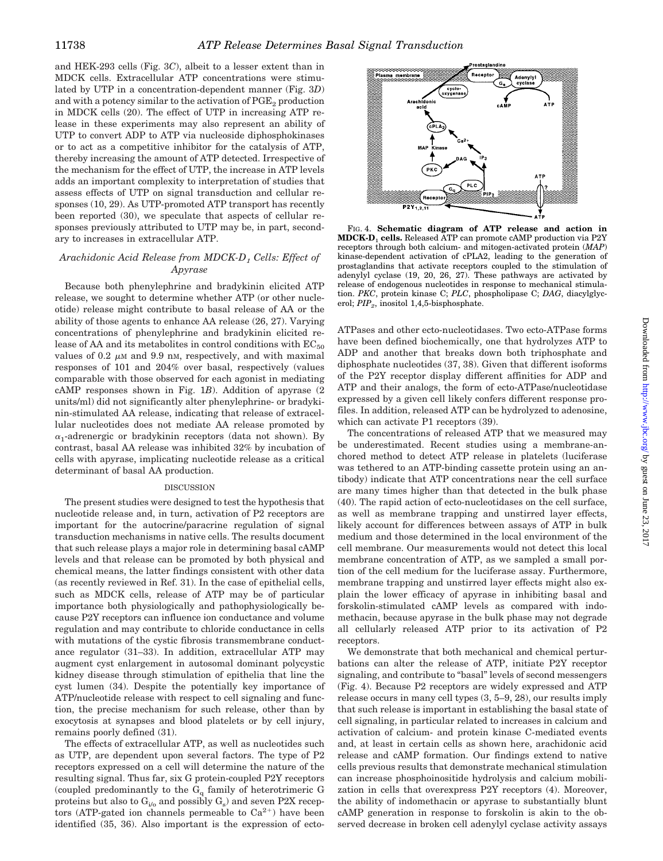and HEK-293 cells (Fig. 3*C*), albeit to a lesser extent than in MDCK cells. Extracellular ATP concentrations were stimulated by UTP in a concentration-dependent manner (Fig. 3*D*) and with a potency similar to the activation of  $PGE_2$  production in MDCK cells (20). The effect of UTP in increasing ATP release in these experiments may also represent an ability of UTP to convert ADP to ATP via nucleoside diphosphokinases or to act as a competitive inhibitor for the catalysis of ATP, thereby increasing the amount of ATP detected. Irrespective of the mechanism for the effect of UTP, the increase in ATP levels adds an important complexity to interpretation of studies that assess effects of UTP on signal transduction and cellular responses (10, 29). As UTP-promoted ATP transport has recently been reported (30), we speculate that aspects of cellular responses previously attributed to UTP may be, in part, secondary to increases in extracellular ATP.

#### *Arachidonic Acid Release from MDCK-D1 Cells: Effect of Apyrase*

Because both phenylephrine and bradykinin elicited ATP release, we sought to determine whether ATP (or other nucleotide) release might contribute to basal release of AA or the ability of those agents to enhance AA release (26, 27). Varying concentrations of phenylephrine and bradykinin elicited release of AA and its metabolites in control conditions with  $EC_{50}$ values of 0.2  $\mu$ M and 9.9 nM, respectively, and with maximal responses of 101 and 204% over basal, respectively (values comparable with those observed for each agonist in mediating cAMP responses shown in Fig. 1*B*). Addition of apyrase (2 units/ml) did not significantly alter phenylephrine- or bradykinin-stimulated AA release, indicating that release of extracellular nucleotides does not mediate AA release promoted by  $\alpha_1$ -adrenergic or bradykinin receptors (data not shown). By contrast, basal AA release was inhibited 32% by incubation of cells with apyrase, implicating nucleotide release as a critical determinant of basal AA production.

#### **DISCUSSION**

The present studies were designed to test the hypothesis that nucleotide release and, in turn, activation of P2 receptors are important for the autocrine/paracrine regulation of signal transduction mechanisms in native cells. The results document that such release plays a major role in determining basal cAMP levels and that release can be promoted by both physical and chemical means, the latter findings consistent with other data (as recently reviewed in Ref. 31). In the case of epithelial cells, such as MDCK cells, release of ATP may be of particular importance both physiologically and pathophysiologically because P2Y receptors can influence ion conductance and volume regulation and may contribute to chloride conductance in cells with mutations of the cystic fibrosis transmembrane conductance regulator (31–33). In addition, extracellular ATP may augment cyst enlargement in autosomal dominant polycystic kidney disease through stimulation of epithelia that line the cyst lumen (34). Despite the potentially key importance of ATP/nucleotide release with respect to cell signaling and function, the precise mechanism for such release, other than by exocytosis at synapses and blood platelets or by cell injury, remains poorly defined (31).

The effects of extracellular ATP, as well as nucleotides such as UTP, are dependent upon several factors. The type of P2 receptors expressed on a cell will determine the nature of the resulting signal. Thus far, six G protein-coupled P2Y receptors (coupled predominantly to the  $G_q$  family of heterotrimeric  $G$ proteins but also to  $G_{i/0}$  and possibly  $G_s$ ) and seven P2X receptors (ATP-gated ion channels permeable to  $Ca^{2+}$ ) have been identified (35, 36). Also important is the expression of ecto-



FIG. 4. **Schematic diagram of ATP release and action in MDCK-D**<sup>1</sup> **cells.** Released ATP can promote cAMP production via P2Y receptors through both calcium- and mitogen-activated protein (*MAP*) kinase-dependent activation of cPLA2, leading to the generation of prostaglandins that activate receptors coupled to the stimulation of adenylyl cyclase (19, 20, 26, 27). These pathways are activated by release of endogenous nucleotides in response to mechanical stimulation. *PKC*, protein kinase C; *PLC*, phospholipase C; *DAG*, diacylglycerol; *PIP*<sub>2</sub>, inositol 1,4,5-bisphosphate.

ATPases and other ecto-nucleotidases. Two ecto-ATPase forms have been defined biochemically, one that hydrolyzes ATP to ADP and another that breaks down both triphosphate and diphosphate nucleotides (37, 38). Given that different isoforms of the P2Y receptor display different affinities for ADP and ATP and their analogs, the form of ecto-ATPase/nucleotidase expressed by a given cell likely confers different response profiles. In addition, released ATP can be hydrolyzed to adenosine, which can activate P1 receptors (39).

The concentrations of released ATP that we measured may be underestimated. Recent studies using a membrane-anchored method to detect ATP release in platelets (luciferase was tethered to an ATP-binding cassette protein using an antibody) indicate that ATP concentrations near the cell surface are many times higher than that detected in the bulk phase (40). The rapid action of ecto-nucleotidases on the cell surface, as well as membrane trapping and unstirred layer effects, likely account for differences between assays of ATP in bulk medium and those determined in the local environment of the cell membrane. Our measurements would not detect this local membrane concentration of ATP, as we sampled a small portion of the cell medium for the luciferase assay. Furthermore, membrane trapping and unstirred layer effects might also explain the lower efficacy of apyrase in inhibiting basal and forskolin-stimulated cAMP levels as compared with indomethacin, because apyrase in the bulk phase may not degrade all cellularly released ATP prior to its activation of P2 receptors.

We demonstrate that both mechanical and chemical perturbations can alter the release of ATP, initiate P2Y receptor signaling, and contribute to "basal" levels of second messengers (Fig. 4). Because P2 receptors are widely expressed and ATP release occurs in many cell types (3, 5–9, 28), our results imply that such release is important in establishing the basal state of cell signaling, in particular related to increases in calcium and activation of calcium- and protein kinase C-mediated events and, at least in certain cells as shown here, arachidonic acid release and cAMP formation. Our findings extend to native cells previous results that demonstrate mechanical stimulation can increase phosphoinositide hydrolysis and calcium mobilization in cells that overexpress P2Y receptors (4). Moreover, the ability of indomethacin or apyrase to substantially blunt cAMP generation in response to forskolin is akin to the observed decrease in broken cell adenylyl cyclase activity assays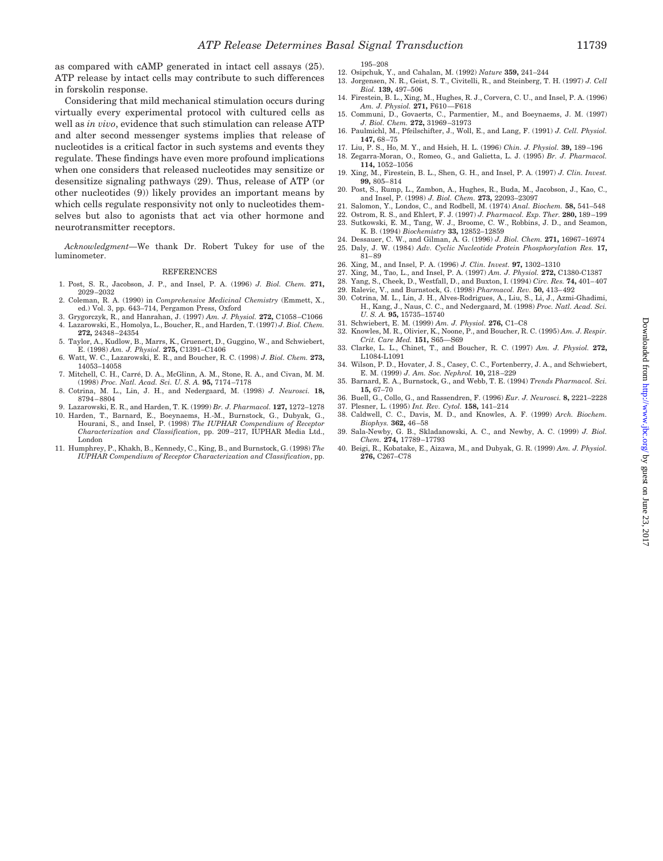as compared with cAMP generated in intact cell assays (25). ATP release by intact cells may contribute to such differences in forskolin response.

Considering that mild mechanical stimulation occurs during virtually every experimental protocol with cultured cells as well as *in vivo*, evidence that such stimulation can release ATP and alter second messenger systems implies that release of nucleotides is a critical factor in such systems and events they regulate. These findings have even more profound implications when one considers that released nucleotides may sensitize or desensitize signaling pathways (29). Thus, release of ATP (or other nucleotides (9)) likely provides an important means by which cells regulate responsivity not only to nucleotides themselves but also to agonists that act via other hormone and neurotransmitter receptors.

*Acknowledgment—*We thank Dr. Robert Tukey for use of the luminometer.

#### REFERENCES

- 1. Post, S. R., Jacobson, J. P., and Insel, P. A. (1996) *J. Biol. Chem.* **271,** 2029–2032
- 2. Coleman, R. A. (1990) in *Comprehensive Medicinal Chemistry* (Emmett, X., ed.) Vol. 3, pp. 643–714, Pergamon Press, Oxford
- 3. Grygorczyk, R., and Hanrahan, J. (1997) *Am. J. Physiol.* **272,** C1058–C1066 4. Lazarowski, E., Homolya, L., Boucher, R., and Harden, T. (1997) *J. Biol. Chem.*
- **272,** 24348–24354 5. Taylor, A., Kudlow, B., Marrs, K., Gruenert, D., Guggino, W., and Schwiebert,
- E. (1998) *Am. J. Physiol.* **275,** C1391–C1406 6. Watt, W. C., Lazarowski, E. R., and Boucher, R. C. (1998) *J. Biol. Chem.* **273,**
- 14053–14058 7. Mitchell, C. H., Carré, D. A., McGlinn, A. M., Stone, R. A., and Civan, M. M.
- (1998) *Proc. Natl. Acad. Sci. U. S. A.* **95,** 7174–7178 8. Cotrina, M. L., Lin, J. H., and Nedergaard, M. (1998) *J. Neurosci.* **18,** 8794–8804
- 9. Lazarowski, E. R., and Harden, T. K. (1999) *Br. J. Pharmacol.* **127,** 1272–1278
- 10. Harden, T., Barnard, E., Boeynaems, H.-M., Burnstock, G., Dubyak, G., Hourani, S., and Insel, P. (1998) *The IUPHAR Compendium of Receptor Characterization and Classification*, pp. 209–217, IUPHAR Media Ltd., London
- 11. Humphrey, P., Khakh, B., Kennedy, C., King, B., and Burnstock, G. (1998) *The IUPHAR Compendium of Receptor Characterization and Classification*, pp.
- 195–208
- 12. Osipchuk, Y., and Cahalan, M. (1992) *Nature* **359,** 241–244
- 13. Jorgensen, N. R., Geist, S. T., Civitelli, R., and Steinberg, T. H. (1997) *J. Cell Biol.* **139,** 497–506
- 14. Firestein, B. L., Xing, M., Hughes, R. J., Corvera, C. U., and Insel, P. A. (1996) *Am. J. Physiol.* **271,** F610—F618
- 15. Communi, D., Govaerts, C., Parmentier, M., and Boeynaems, J. M. (1997) *J. Biol. Chem.* **272,** 31969–31973
- 16. Paulmichl, M., Pfeilschifter, J., Woll, E., and Lang, F. (1991) *J. Cell. Physiol.* **147,** 68–75
- 17. Liu, P. S., Ho, M. Y., and Hsieh, H. L. (1996) *Chin. J. Physiol.* **39,** 189–196 18. Zegarra-Moran, O., Romeo, G., and Galietta, L. J. (1995) *Br. J. Pharmacol.*
- **114,** 1052–1056 19. Xing, M., Firestein, B. L., Shen, G. H., and Insel, P. A. (1997) *J. Clin. Invest.* **99,** 805–814
- 20. Post, S., Rump, L., Zambon, A., Hughes, R., Buda, M., Jacobson, J., Kao, C., and Insel, P. (1998) *J. Biol. Chem.* **273,** 22093–23097
- 21. Salomon, Y., Londos, C., and Rodbell, M. (1974) *Anal. Biochem.* **58,** 541–548
- 22. Ostrom, R. S., and Ehlert, F. J. (1997) *J. Pharmacol. Exp. Ther.* **280,** 189–199 23. Sutkowski, E. M., Tang, W. J., Broome, C. W., Robbins, J. D., and Seamon,
- K. B. (1994) *Biochemistry* **33,** 12852–12859 24. Dessauer, C. W., and Gilman, A. G. (1996) *J. Biol. Chem.* **271,** 16967–16974
- 25. Daly, J. W. (1984) *Adv. Cyclic Nucleotide Protein Phosphorylation Res.* **17,** 81–89
- 26. Xing, M., and Insel, P. A. (1996) *J. Clin. Invest.* **97,** 1302–1310
- 27. Xing, M., Tao, L., and Insel, P. A. (1997) *Am. J. Physiol.* **272,** C1380-C1387
- 28. Yang, S., Cheek, D., Westfall, D., and Buxton, I. (1994) *Circ. Res.* **74,** 401–407
- 29. Ralevic, V., and Burnstock, G. (1998) *Pharmacol. Rev.* **50,** 413–492
- 30. Cotrina, M. L., Lin, J. H., Alves-Rodrigues, A., Liu, S., Li, J., Azmi-Ghadimi, H., Kang, J., Naus, C. C., and Nedergaard, M. (1998) *Proc. Natl. Acad. Sci. U. S. A.* **95,** 15735–15740
- 31. Schwiebert, E. M. (1999) *Am. J. Physiol.* **276,** C1–C8
- 32. Knowles, M. R., Olivier, K., Noone, P., and Boucher, R. C. (1995) *Am. J. Respir. Crit. Care Med.* **151,** S65—S69
- 33. Clarke, L. L., Chinet, T., and Boucher, R. C. (1997) *Am. J. Physiol.* **272,** L1084-L1091
- 34. Wilson, P. D., Hovater, J. S., Casey, C. C., Fortenberry, J. A., and Schwiebert, E. M. (1999) *J. Am. Soc. Nephrol.* **10,** 218–229
- 35. Barnard, E. A., Burnstock, G., and Webb, T. E. (1994) *Trends Pharmacol. Sci.* **15,** 67–70
- 36. Buell, G., Collo, G., and Rassendren, F. (1996) *Eur. J. Neurosci.* **8,** 2221–2228
- 37. Plesner, L. (1995) *Int. Rev. Cytol.* **158,** 141–214
- 38. Caldwell, C. C., Davis, M. D., and Knowles, A. F. (1999) *Arch. Biochem. Biophys.* **362,** 46–58
- 39. Sala-Newby, G. B., Skladanowski, A. C., and Newby, A. C. (1999) *J. Biol. Chem.* **274,** 17789–17793
- 40. Beigi, R., Kobatake, E., Aizawa, M., and Dubyak, G. R. (1999) *Am. J. Physiol.* **276,** C267–C78